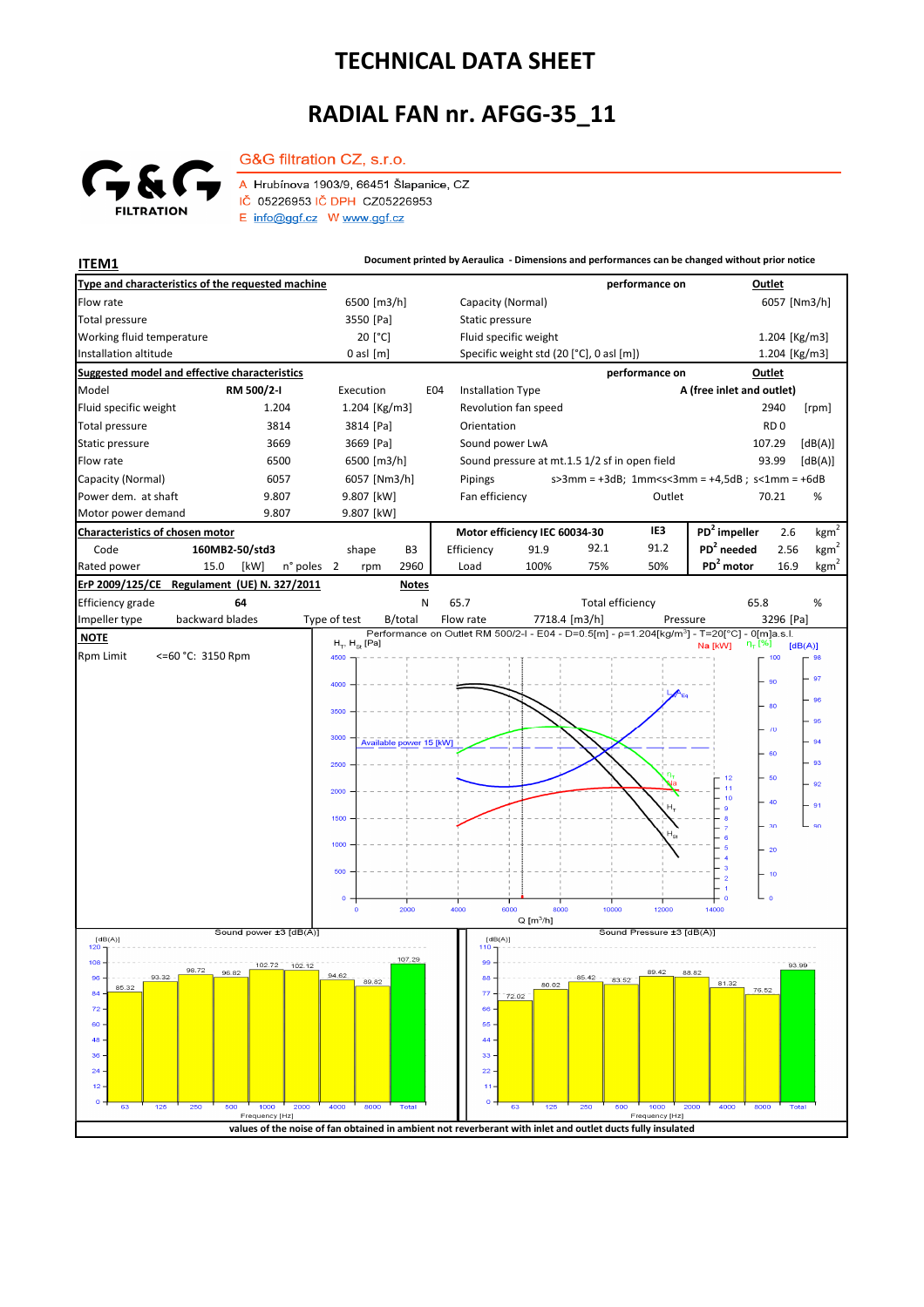## **TECHNICAL DATA SHEET**

## **RADIAL FAN nr. AFGG-35\_11**



G&G filtration CZ, s.r.o. A Hrubínova 1903/9, 66451 Šlapanice, CZ IČ 05226953 IČ DPH CZ05226953

E info@ggf.cz W www.ggf.cz

**ITEM1 Document printed by Aeraulica - Dimensions and performances can be changed without prior notice**

| Type and characteristics of the requested machine                         |                                                                                                            |                                                                                                                                       | performance on                        | Outlet                                                                                      |  |
|---------------------------------------------------------------------------|------------------------------------------------------------------------------------------------------------|---------------------------------------------------------------------------------------------------------------------------------------|---------------------------------------|---------------------------------------------------------------------------------------------|--|
| Flow rate                                                                 | 6500 [m3/h]                                                                                                | Capacity (Normal)                                                                                                                     |                                       | 6057 [Nm3/h]                                                                                |  |
| Total pressure                                                            | 3550 [Pa]                                                                                                  | Static pressure                                                                                                                       |                                       |                                                                                             |  |
| Working fluid temperature                                                 | 20 [°C]                                                                                                    | Fluid specific weight                                                                                                                 |                                       | 1.204 [Kg/m3]                                                                               |  |
| Installation altitude                                                     | $0$ asl $[m]$                                                                                              | Specific weight std (20 [°C], 0 asl [m])                                                                                              |                                       | 1.204 [Kg/m3]                                                                               |  |
| <b>Suggested model and effective characteristics</b>                      |                                                                                                            |                                                                                                                                       | performance on                        | Outlet                                                                                      |  |
| Model<br>RM 500/2-I                                                       | Execution<br>E04                                                                                           | <b>Installation Type</b>                                                                                                              |                                       | A (free inlet and outlet)                                                                   |  |
| Fluid specific weight<br>1.204                                            | $1.204$ [Kg/m3]                                                                                            | Revolution fan speed                                                                                                                  |                                       | 2940<br>[rpm]                                                                               |  |
| Total pressure<br>3814                                                    | 3814 [Pa]                                                                                                  | Orientation                                                                                                                           |                                       | RD <sub>0</sub>                                                                             |  |
| Static pressure<br>3669                                                   | 3669 [Pa]                                                                                                  | Sound power LwA                                                                                                                       |                                       | 107.29<br>[dB(A)]                                                                           |  |
| Flow rate<br>6500                                                         | 6500 [m3/h]                                                                                                | Sound pressure at mt.1.5 1/2 sf in open field                                                                                         |                                       | 93.99<br>[dB(A)]                                                                            |  |
| Capacity (Normal)<br>6057                                                 | 6057 [Nm3/h]                                                                                               | Pipings                                                                                                                               |                                       | $s > 3$ mm = $+3dB$ ; 1mm <s<3mm <math="" =="">+4,5dB; s&lt;1mm = <math>+6dB</math></s<3mm> |  |
| Power dem. at shaft<br>9.807                                              | 9.807 [kW]                                                                                                 | Fan efficiency                                                                                                                        | Outlet                                | 70.21<br>%                                                                                  |  |
| Motor power demand<br>9.807                                               | 9.807 [kW]                                                                                                 |                                                                                                                                       |                                       |                                                                                             |  |
| Characteristics of chosen motor                                           |                                                                                                            | Motor efficiency IEC 60034-30                                                                                                         | IE3                                   | $PD2$ impeller<br>kgm <sup>2</sup><br>2.6                                                   |  |
| Code<br>160MB2-50/std3                                                    | shape<br>B3                                                                                                | Efficiency<br>91.9                                                                                                                    | 91.2<br>92.1                          | $PD2$ needed<br>kgm <sup>2</sup><br>2.56                                                    |  |
| Rated power<br>15.0<br>[kW]<br>n° poles 2                                 | 2960<br>rpm                                                                                                | 100%<br>Load                                                                                                                          | 50%<br>75%                            | PD <sup>2</sup> motor<br>kgm <sup>2</sup><br>16.9                                           |  |
| ErP 2009/125/CE Regulament (UE) N. 327/2011                               | <b>Notes</b>                                                                                               |                                                                                                                                       |                                       |                                                                                             |  |
| Efficiency grade<br>64                                                    | N                                                                                                          | 65.7                                                                                                                                  | <b>Total efficiency</b>               | 65.8<br>%                                                                                   |  |
| backward blades<br>Impeller type                                          | Type of test<br>B/total                                                                                    | Flow rate<br>7718.4 [m3/h]<br>Performance on Outlet RM 500/2-I - E04 - D=0.5[m] - p=1.204[kg/m <sup>3</sup> ] - T=20[°C] - 0[m]a.s.l. | Pressure                              | 3296 [Pa]                                                                                   |  |
| <b>NOTE</b>                                                               | $H_T$ , $H_{\text{St}}$ [Pa]                                                                               |                                                                                                                                       |                                       | η <sub>τ</sub> [%]<br>Na [kW]<br>[dB(A)]                                                    |  |
| <b>Rpm Limit</b><br><=60 °C: 3150 Rpm                                     | 4500                                                                                                       |                                                                                                                                       |                                       | 100                                                                                         |  |
|                                                                           | 4000                                                                                                       |                                                                                                                                       |                                       | 97<br>90                                                                                    |  |
|                                                                           |                                                                                                            |                                                                                                                                       |                                       | 80                                                                                          |  |
|                                                                           | 3500                                                                                                       |                                                                                                                                       |                                       | 95                                                                                          |  |
|                                                                           | 3000<br>Available power 15 [kW]                                                                            |                                                                                                                                       |                                       | $\sqrt{0}$<br>94                                                                            |  |
|                                                                           |                                                                                                            |                                                                                                                                       |                                       | 60<br>93                                                                                    |  |
|                                                                           | 2500                                                                                                       |                                                                                                                                       |                                       | 50<br>12                                                                                    |  |
|                                                                           | 2000                                                                                                       |                                                                                                                                       |                                       | 92                                                                                          |  |
|                                                                           |                                                                                                            |                                                                                                                                       |                                       | 40<br>- 91                                                                                  |  |
|                                                                           | 1500                                                                                                       |                                                                                                                                       |                                       | $90^{\circ}$<br>30                                                                          |  |
|                                                                           | 1000                                                                                                       |                                                                                                                                       |                                       | 20                                                                                          |  |
|                                                                           |                                                                                                            |                                                                                                                                       |                                       | 4<br>3                                                                                      |  |
|                                                                           | 500                                                                                                        |                                                                                                                                       |                                       | 10<br>$\overline{a}$                                                                        |  |
|                                                                           | $\circ$                                                                                                    |                                                                                                                                       |                                       | $\Omega$                                                                                    |  |
|                                                                           | 2000<br>$\circ$                                                                                            | 4000<br>6000<br>8000<br>$Q$ [m <sup>3</sup> /h]                                                                                       | 10000<br>12000                        | 14000                                                                                       |  |
| Sound power ±3 [dB(A)]<br>Sound Pressure ±3 [dB(A)]<br>[dB(A)]<br>[dB(A)] |                                                                                                            |                                                                                                                                       |                                       |                                                                                             |  |
| 120                                                                       | 107.29                                                                                                     | 110                                                                                                                                   |                                       |                                                                                             |  |
| 108<br>102.72<br>102.12<br>98.72<br>96.82                                 |                                                                                                            | 99                                                                                                                                    | 89.42<br>88.82                        | 93.99                                                                                       |  |
| 93.32<br>85.32<br>84                                                      | 89.82                                                                                                      | 88<br>85,42<br>80.02<br>77                                                                                                            | 83.52                                 | 81.32<br>76.52                                                                              |  |
| 72                                                                        |                                                                                                            | 72.02<br>66                                                                                                                           |                                       |                                                                                             |  |
| 60                                                                        |                                                                                                            | 55                                                                                                                                    |                                       |                                                                                             |  |
| 48                                                                        |                                                                                                            | 44                                                                                                                                    |                                       |                                                                                             |  |
| 36                                                                        |                                                                                                            | 33                                                                                                                                    |                                       |                                                                                             |  |
| 24                                                                        |                                                                                                            | 22                                                                                                                                    |                                       |                                                                                             |  |
| 12<br>$\circ$                                                             |                                                                                                            | 11<br>$\circ$                                                                                                                         |                                       |                                                                                             |  |
| 125<br>250<br>500<br>1000<br>2000<br>63<br>Frequency [Hz]                 | 4000<br>8000<br><b>Total</b>                                                                               | 125<br>250<br>63                                                                                                                      | 500<br>1000<br>2000<br>Frequency [Hz] | 4000<br>8000<br><b>Total</b>                                                                |  |
|                                                                           | values of the noise of fan obtained in ambient not reverberant with inlet and outlet ducts fully insulated |                                                                                                                                       |                                       |                                                                                             |  |